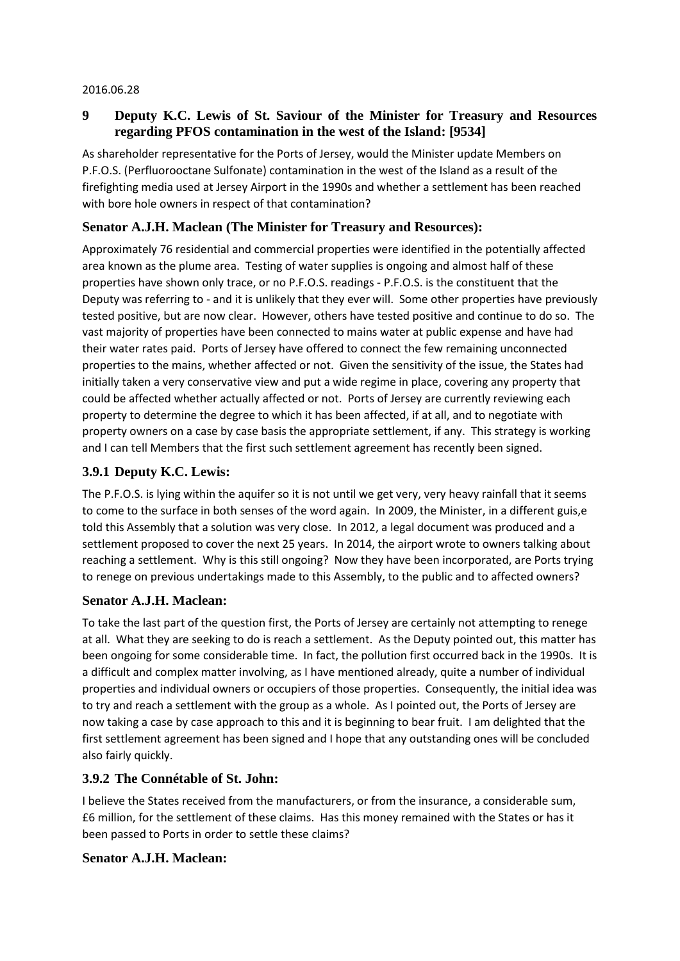#### 2016.06.28

# **9 Deputy K.C. Lewis of St. Saviour of the Minister for Treasury and Resources regarding PFOS contamination in the west of the Island: [9534]**

As shareholder representative for the Ports of Jersey, would the Minister update Members on P.F.O.S. (Perfluorooctane Sulfonate) contamination in the west of the Island as a result of the firefighting media used at Jersey Airport in the 1990s and whether a settlement has been reached with bore hole owners in respect of that contamination?

## **Senator A.J.H. Maclean (The Minister for Treasury and Resources):**

Approximately 76 residential and commercial properties were identified in the potentially affected area known as the plume area. Testing of water supplies is ongoing and almost half of these properties have shown only trace, or no P.F.O.S. readings - P.F.O.S. is the constituent that the Deputy was referring to - and it is unlikely that they ever will. Some other properties have previously tested positive, but are now clear. However, others have tested positive and continue to do so. The vast majority of properties have been connected to mains water at public expense and have had their water rates paid. Ports of Jersey have offered to connect the few remaining unconnected properties to the mains, whether affected or not. Given the sensitivity of the issue, the States had initially taken a very conservative view and put a wide regime in place, covering any property that could be affected whether actually affected or not. Ports of Jersey are currently reviewing each property to determine the degree to which it has been affected, if at all, and to negotiate with property owners on a case by case basis the appropriate settlement, if any. This strategy is working and I can tell Members that the first such settlement agreement has recently been signed.

## **3.9.1 Deputy K.C. Lewis:**

The P.F.O.S. is lying within the aquifer so it is not until we get very, very heavy rainfall that it seems to come to the surface in both senses of the word again. In 2009, the Minister, in a different guis,e told this Assembly that a solution was very close. In 2012, a legal document was produced and a settlement proposed to cover the next 25 years. In 2014, the airport wrote to owners talking about reaching a settlement. Why is this still ongoing? Now they have been incorporated, are Ports trying to renege on previous undertakings made to this Assembly, to the public and to affected owners?

#### **Senator A.J.H. Maclean:**

To take the last part of the question first, the Ports of Jersey are certainly not attempting to renege at all. What they are seeking to do is reach a settlement. As the Deputy pointed out, this matter has been ongoing for some considerable time. In fact, the pollution first occurred back in the 1990s. It is a difficult and complex matter involving, as I have mentioned already, quite a number of individual properties and individual owners or occupiers of those properties. Consequently, the initial idea was to try and reach a settlement with the group as a whole. As I pointed out, the Ports of Jersey are now taking a case by case approach to this and it is beginning to bear fruit. I am delighted that the first settlement agreement has been signed and I hope that any outstanding ones will be concluded also fairly quickly.

## **3.9.2 The Connétable of St. John:**

I believe the States received from the manufacturers, or from the insurance, a considerable sum, £6 million, for the settlement of these claims. Has this money remained with the States or has it been passed to Ports in order to settle these claims?

#### **Senator A.J.H. Maclean:**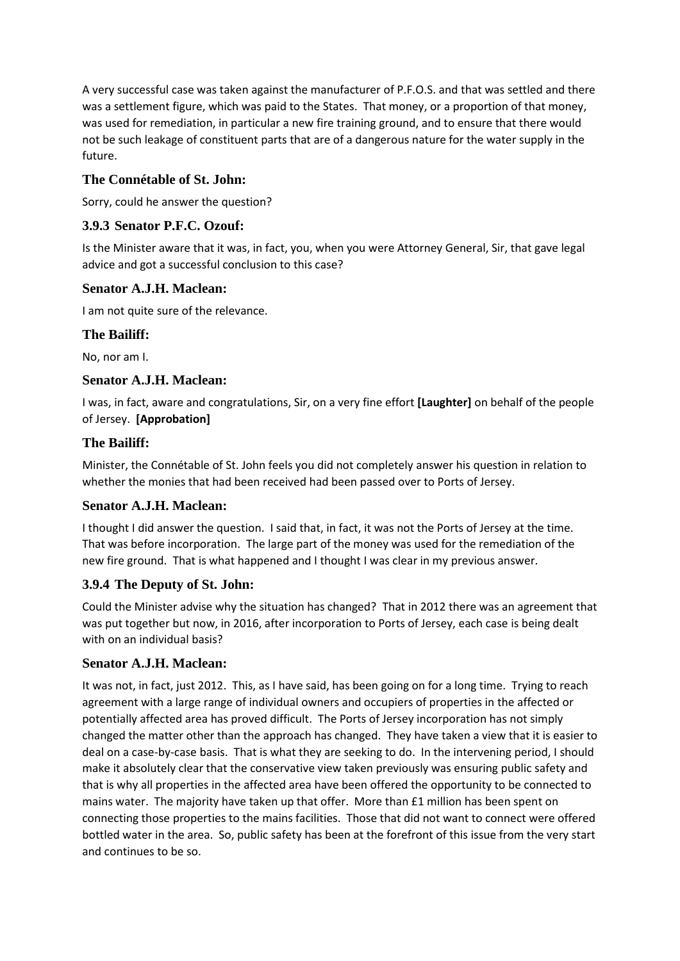A very successful case was taken against the manufacturer of P.F.O.S. and that was settled and there was a settlement figure, which was paid to the States. That money, or a proportion of that money, was used for remediation, in particular a new fire training ground, and to ensure that there would not be such leakage of constituent parts that are of a dangerous nature for the water supply in the future.

## **The Connétable of St. John:**

Sorry, could he answer the question?

# **3.9.3 Senator P.F.C. Ozouf:**

Is the Minister aware that it was, in fact, you, when you were Attorney General, Sir, that gave legal advice and got a successful conclusion to this case?

## **Senator A.J.H. Maclean:**

I am not quite sure of the relevance.

## **The Bailiff:**

No, nor am I.

## **Senator A.J.H. Maclean:**

I was, in fact, aware and congratulations, Sir, on a very fine effort **[Laughter]** on behalf of the people of Jersey. **[Approbation]**

## **The Bailiff:**

Minister, the Connétable of St. John feels you did not completely answer his question in relation to whether the monies that had been received had been passed over to Ports of Jersey.

## **Senator A.J.H. Maclean:**

I thought I did answer the question. I said that, in fact, it was not the Ports of Jersey at the time. That was before incorporation. The large part of the money was used for the remediation of the new fire ground. That is what happened and I thought I was clear in my previous answer.

## **3.9.4 The Deputy of St. John:**

Could the Minister advise why the situation has changed? That in 2012 there was an agreement that was put together but now, in 2016, after incorporation to Ports of Jersey, each case is being dealt with on an individual basis?

## **Senator A.J.H. Maclean:**

It was not, in fact, just 2012. This, as I have said, has been going on for a long time. Trying to reach agreement with a large range of individual owners and occupiers of properties in the affected or potentially affected area has proved difficult. The Ports of Jersey incorporation has not simply changed the matter other than the approach has changed. They have taken a view that it is easier to deal on a case-by-case basis. That is what they are seeking to do. In the intervening period, I should make it absolutely clear that the conservative view taken previously was ensuring public safety and that is why all properties in the affected area have been offered the opportunity to be connected to mains water. The majority have taken up that offer. More than £1 million has been spent on connecting those properties to the mains facilities. Those that did not want to connect were offered bottled water in the area. So, public safety has been at the forefront of this issue from the very start and continues to be so.